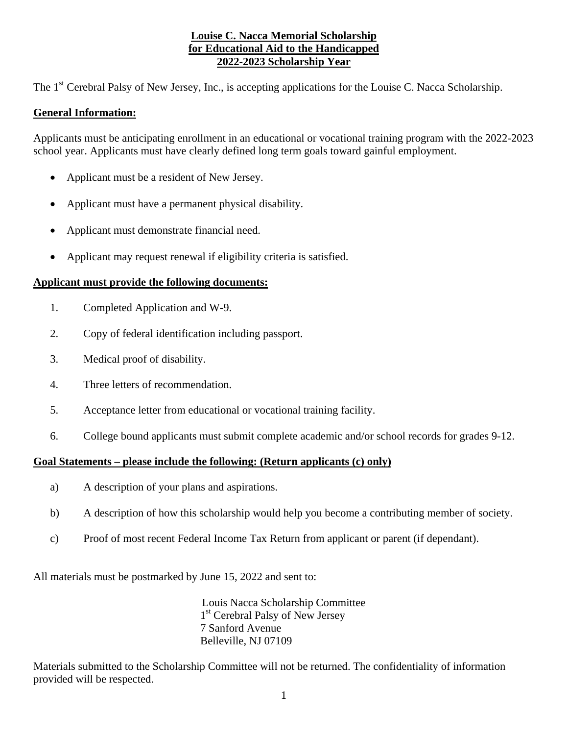#### **Louise C. Nacca Memorial Scholarship for Educational Aid to the Handicapped 2022-2023 Scholarship Year**

The 1<sup>st</sup> Cerebral Palsy of New Jersey, Inc., is accepting applications for the Louise C. Nacca Scholarship.

## **General Information:**

Applicants must be anticipating enrollment in an educational or vocational training program with the 2022-2023 school year. Applicants must have clearly defined long term goals toward gainful employment.

- Applicant must be a resident of New Jersey.
- Applicant must have a permanent physical disability.
- Applicant must demonstrate financial need.
- Applicant may request renewal if eligibility criteria is satisfied.

## **Applicant must provide the following documents:**

- 1. Completed Application and W-9.
- 2. Copy of federal identification including passport.
- 3. Medical proof of disability.
- 4. Three letters of recommendation.
- 5. Acceptance letter from educational or vocational training facility.
- 6. College bound applicants must submit complete academic and/or school records for grades 9-12.

#### **Goal Statements – please include the following: (Return applicants (c) only)**

- a) A description of your plans and aspirations.
- b) A description of how this scholarship would help you become a contributing member of society.
- c) Proof of most recent Federal Income Tax Return from applicant or parent (if dependant).

All materials must be postmarked by June 15, 2022 and sent to:

Louis Nacca Scholarship Committee 1<sup>st</sup> Cerebral Palsy of New Jersey 7 Sanford Avenue Belleville, NJ 07109

Materials submitted to the Scholarship Committee will not be returned. The confidentiality of information provided will be respected.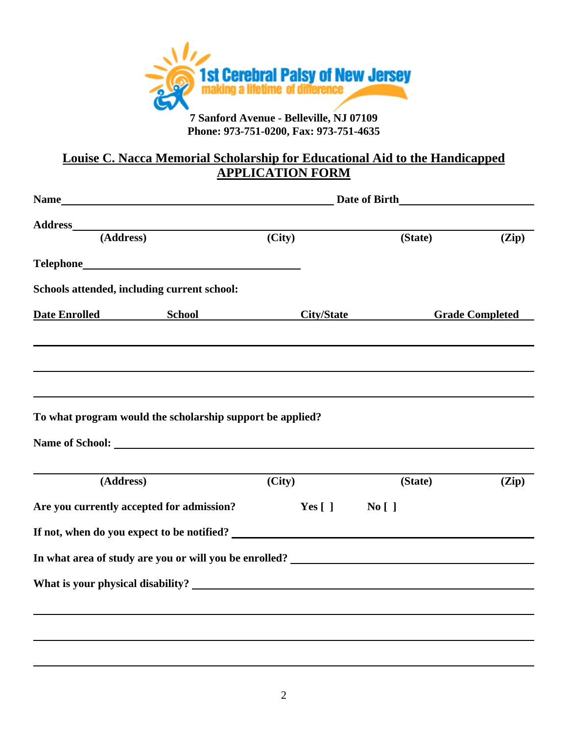

**Phone: 973-751-0200, Fax: 973-751-4635** 

# **Louise C. Nacca Memorial Scholarship for Educational Aid to the Handicapped APPLICATION FORM**

|                                                                                   | $\overline{(City)}$ | (State) | (Zip)                  |
|-----------------------------------------------------------------------------------|---------------------|---------|------------------------|
|                                                                                   |                     |         |                        |
|                                                                                   |                     |         |                        |
| Schools attended, including current school:                                       |                     |         |                        |
| <b>Date Enrolled School City/State</b>                                            |                     |         | <b>Grade Completed</b> |
| To what program would the scholarship support be applied?                         |                     |         |                        |
| (Address)                                                                         | (City)              | (State) | (Zip)                  |
| Are you currently accepted for admission?                                         | $Yes [ ]$ No []     |         |                        |
|                                                                                   |                     |         |                        |
| In what area of study are you or will you be enrolled? __________________________ |                     |         |                        |
|                                                                                   |                     |         |                        |
|                                                                                   |                     |         |                        |
|                                                                                   |                     |         |                        |
|                                                                                   |                     |         |                        |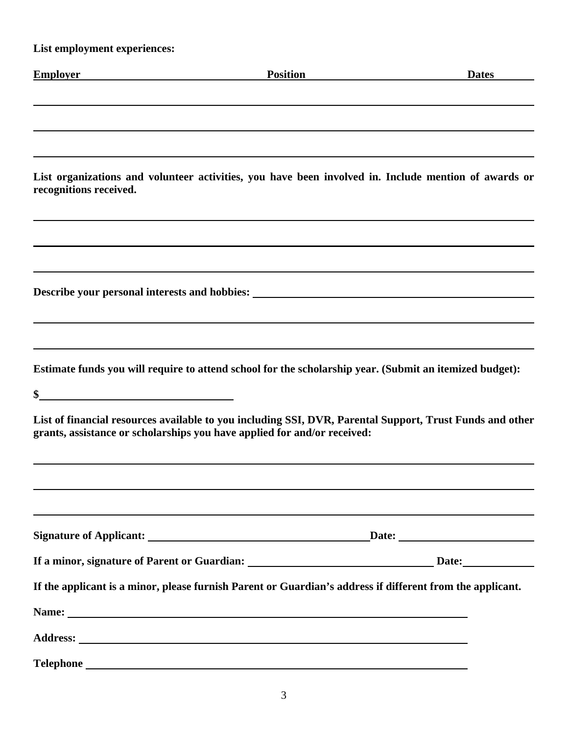| List employment experiences:                                                                                                                                                                                                  |                   |              |
|-------------------------------------------------------------------------------------------------------------------------------------------------------------------------------------------------------------------------------|-------------------|--------------|
| <b>Employer</b>                                                                                                                                                                                                               | Position Position | <b>Dates</b> |
|                                                                                                                                                                                                                               |                   |              |
|                                                                                                                                                                                                                               |                   |              |
|                                                                                                                                                                                                                               |                   |              |
| List organizations and volunteer activities, you have been involved in. Include mention of awards or<br>recognitions received.                                                                                                |                   |              |
|                                                                                                                                                                                                                               |                   |              |
| <u> 1989 - Andrea Barbara, Amerikaansk politiker († 1989)</u>                                                                                                                                                                 |                   |              |
| Describe your personal interests and hobbies: ___________________________________                                                                                                                                             |                   |              |
|                                                                                                                                                                                                                               |                   |              |
|                                                                                                                                                                                                                               |                   |              |
| Estimate funds you will require to attend school for the scholarship year. (Submit an itemized budget):                                                                                                                       |                   |              |
| $\frac{1}{2}$                                                                                                                                                                                                                 |                   |              |
| List of financial resources available to you including SSI, DVR, Parental Support, Trust Funds and other<br>grants, assistance or scholarships you have applied for and/or received:                                          |                   |              |
|                                                                                                                                                                                                                               |                   |              |
|                                                                                                                                                                                                                               |                   |              |
|                                                                                                                                                                                                                               |                   |              |
|                                                                                                                                                                                                                               |                   |              |
| If the applicant is a minor, please furnish Parent or Guardian's address if different from the applicant.                                                                                                                     |                   |              |
| Name: Name: Name: Name: Name: Name: Name: Name: Name: Name: Name: Name: Name: Name: Name: Name: Name: Name: Name: Name: Name: Name: Name: Name: Name: Name: Name: Name: Name: Name: Name: Name: Name: Name: Name: Name: Name: |                   |              |
|                                                                                                                                                                                                                               |                   |              |
| Telephone                                                                                                                                                                                                                     |                   |              |